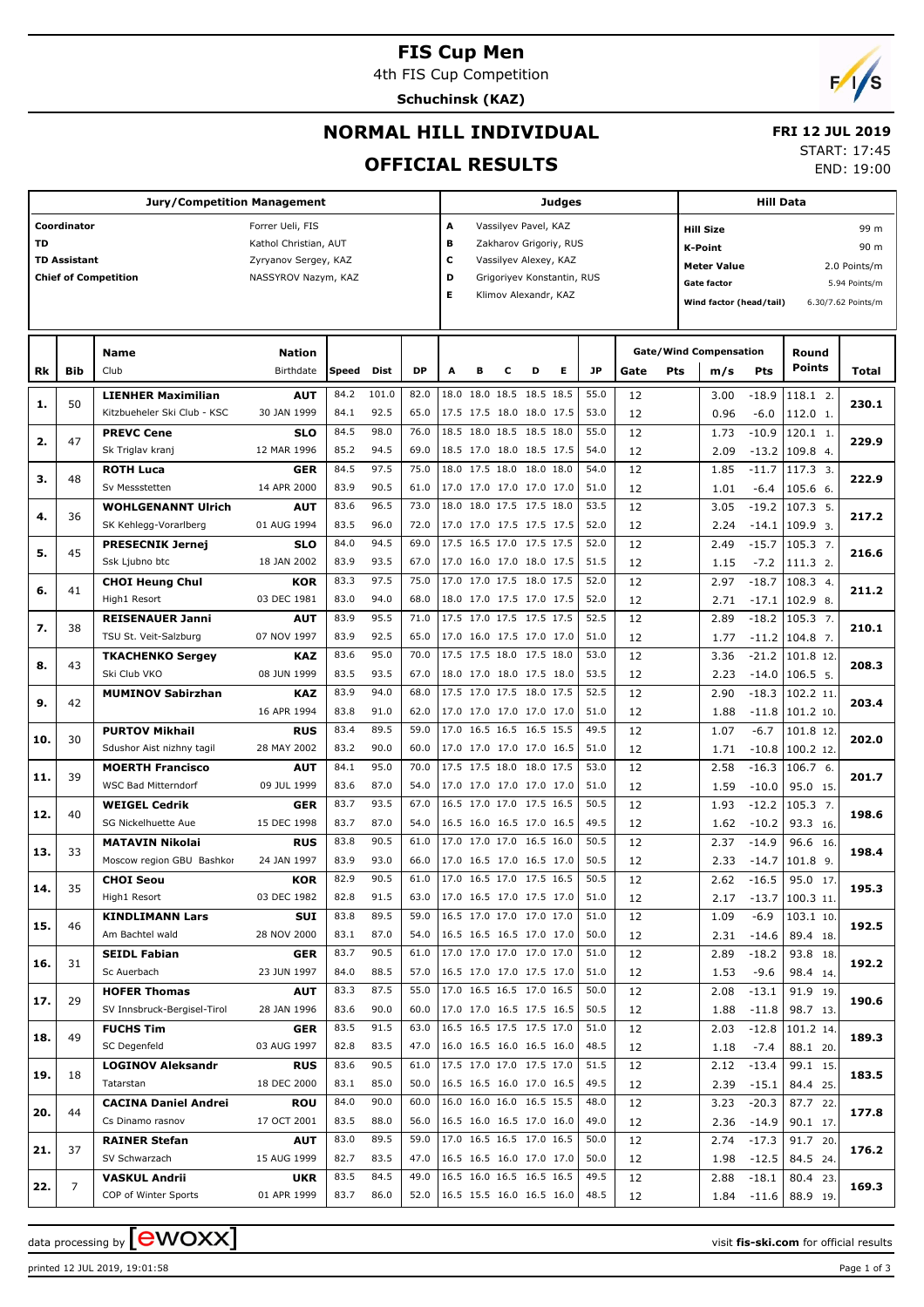# **FIS Cup Men**

4th FIS Cup Competition

**Schuchinsk (KAZ)**



# **NORMAL HILL INDIVIDUAL**

# **FRI 12 JUL 2019**

### **OFFICIAL RESULTS**

START: 17:45

END: 19:00

|     |                     | <b>Jury/Competition Management</b> |                       | Judges |       |                                 |   |                                                          |   |                      |                        | Hill Data |      |     |                               |                                    |                        |                    |  |  |
|-----|---------------------|------------------------------------|-----------------------|--------|-------|---------------------------------|---|----------------------------------------------------------|---|----------------------|------------------------|-----------|------|-----|-------------------------------|------------------------------------|------------------------|--------------------|--|--|
|     | Coordinator         |                                    | Forrer Ueli, FIS      |        |       |                                 | А |                                                          |   | Vassilyev Pavel, KAZ |                        |           |      |     | <b>Hill Size</b>              |                                    |                        | 99 m               |  |  |
| TD  |                     |                                    | Kathol Christian, AUT |        |       |                                 | в |                                                          |   |                      | Zakharov Grigoriy, RUS |           |      |     | 90 m<br><b>K-Point</b>        |                                    |                        |                    |  |  |
|     | <b>TD Assistant</b> |                                    | Zyryanov Sergey, KAZ  |        |       |                                 | с |                                                          |   |                      |                        |           |      |     |                               |                                    |                        |                    |  |  |
|     |                     | <b>Chief of Competition</b>        | NASSYROV Nazym, KAZ   |        |       |                                 |   | Vassilyev Alexey, KAZ<br>D<br>Grigoriyev Konstantin, RUS |   |                      |                        |           |      |     |                               | <b>Meter Value</b><br>2.0 Points/m |                        |                    |  |  |
|     |                     |                                    |                       |        |       |                                 | Е |                                                          |   | Klimov Alexandr, KAZ |                        |           |      |     | <b>Gate factor</b>            |                                    |                        | 5.94 Points/m      |  |  |
|     |                     |                                    |                       |        |       |                                 |   |                                                          |   |                      |                        |           |      |     | Wind factor (head/tail)       |                                    |                        | 6.30/7.62 Points/m |  |  |
|     |                     |                                    |                       |        |       |                                 |   |                                                          |   |                      |                        |           |      |     |                               |                                    |                        |                    |  |  |
|     |                     |                                    |                       |        |       |                                 |   |                                                          |   |                      |                        |           |      |     |                               |                                    |                        |                    |  |  |
|     |                     | <b>Name</b>                        | <b>Nation</b>         |        |       |                                 |   |                                                          |   |                      |                        |           |      |     | <b>Gate/Wind Compensation</b> |                                    | Round                  |                    |  |  |
| Rk  | <b>Bib</b>          | Club                               | Birthdate             | Speed  | Dist  | <b>DP</b>                       | A | в                                                        | С | D                    | Е                      | JP        | Gate | Pts | m/s                           | Pts                                | <b>Points</b>          | Total              |  |  |
|     |                     | <b>LIENHER Maximilian</b>          | <b>AUT</b>            | 84.2   | 101.0 | 82.0                            |   | 18.0 18.0 18.5 18.5 18.5                                 |   |                      |                        | 55.0      | 12   |     | 3.00                          | $-18.9$                            | 118.1 2.               |                    |  |  |
| 1.  | 50                  | Kitzbueheler Ski Club - KSC        | 30 JAN 1999           | 84.1   | 92.5  | 65.0                            |   | 17.5 17.5 18.0 18.0 17.5                                 |   |                      |                        | 53.0      | 12   |     | 0.96                          | $-6.0$                             | 112.0 1.               | 230.1              |  |  |
|     |                     | <b>PREVC Cene</b>                  | <b>SLO</b>            | 84.5   | 98.0  | 76.0                            |   | 18.5 18.0 18.5 18.5 18.0                                 |   |                      |                        | 55.0      | 12   |     | 1.73                          | $-10.9$                            | 120.1 1.               |                    |  |  |
| 2.  | 47                  | Sk Triglav kranj                   | 12 MAR 1996           | 85.2   | 94.5  | 69.0                            |   | 18.5 17.0 18.0 18.5 17.5                                 |   |                      |                        | 54.0      | 12   |     | 2.09                          | $-13.2$                            | 109.84                 | 229.9              |  |  |
|     |                     | <b>ROTH Luca</b>                   | GER                   | 84.5   | 97.5  | 75.0                            |   | 18.0 17.5 18.0 18.0 18.0                                 |   |                      |                        | 54.0      | 12   |     | 1.85                          | $-11.7$                            | 117.3 3.               |                    |  |  |
| з.  | 48                  | Sv Messstetten                     | 14 APR 2000           | 83.9   | 90.5  | 61.0                            |   | 17.0 17.0 17.0 17.0 17.0                                 |   |                      |                        | 51.0      | 12   |     | 1.01                          | $-6.4$                             | 105.6 6.               | 222.9              |  |  |
|     |                     | <b>WOHLGENANNT Ulrich</b>          | <b>AUT</b>            | 83.6   | 96.5  | 73.0                            |   | 18.0 18.0 17.5 17.5 18.0                                 |   |                      |                        | 53.5      | 12   |     | 3.05                          | $-19.2$                            | 107.3 5.               |                    |  |  |
| 4.  | 36                  | SK Kehlegg-Vorarlberg              | 01 AUG 1994           | 83.5   | 96.0  | 72.0                            |   | 17.0 17.0 17.5 17.5 17.5                                 |   |                      |                        | 52.0      | 12   |     | 2.24                          | $-14.1$                            | $109.93$ .             | 217.2              |  |  |
|     |                     | <b>PRESECNIK Jernej</b>            | <b>SLO</b>            | 84.0   | 94.5  | 69.0                            |   | 17.5 16.5 17.0 17.5 17.5                                 |   |                      |                        | 52.0      | 12   |     | 2.49                          | $-15.7$                            | $105.3$ 7.             |                    |  |  |
| 5.  | 45                  | Ssk Ljubno btc                     | 18 JAN 2002           | 83.9   | 93.5  | 67.0                            |   | 17.0 16.0 17.0 18.0 17.5                                 |   |                      |                        | 51.5      | 12   |     | 1.15                          | $-7.2$                             | 111.3 2.               | 216.6              |  |  |
|     |                     |                                    |                       | 83.3   | 97.5  | 75.0                            |   | 17.0 17.0 17.5 18.0 17.5                                 |   |                      |                        | 52.0      |      |     |                               |                                    |                        |                    |  |  |
| 6.  | 41                  | <b>CHOI Heung Chul</b>             | KOR                   |        |       |                                 |   |                                                          |   |                      |                        |           | 12   |     | 2.97                          | $-18.7$                            | 108.3 4.               | 211.2              |  |  |
|     |                     | High1 Resort                       | 03 DEC 1981           | 83.0   | 94.0  | 68.0                            |   | 18.0 17.0 17.5 17.0 17.5                                 |   |                      |                        | 52.0      | 12   |     | 2.71                          | $-17.1$                            | $102.9$ 8.             |                    |  |  |
| 7.  | 38                  | <b>REISENAUER Janni</b>            | <b>AUT</b>            | 83.9   | 95.5  | 71.0                            |   | 17.5 17.0 17.5 17.5 17.5                                 |   |                      |                        | 52.5      | 12   |     | 2.89                          | $-18.2$                            | $105.3$ 7.             | 210.1              |  |  |
|     |                     | TSU St. Veit-Salzburg              | 07 NOV 1997           | 83.9   | 92.5  | 65.0                            |   | 17.0 16.0 17.5 17.0 17.0                                 |   |                      |                        | 51.0      | 12   |     | 1.77                          |                                    | $-11.2$ 104.8 7.       |                    |  |  |
| 8.  | 43                  | <b>TKACHENKO Sergey</b>            | KAZ                   | 83.6   | 95.0  | 70.0                            |   | 17.5 17.5 18.0 17.5 18.0                                 |   |                      |                        | 53.0      | 12   |     | 3.36                          | $-21.2$                            | $101.8$ 12.            | 208.3              |  |  |
|     |                     | Ski Club VKO                       | 08 JUN 1999           | 83.5   | 93.5  | 67.0                            |   | 18.0 17.0 18.0 17.5 18.0                                 |   |                      |                        | 53.5      | 12   |     | 2.23                          | $-14.0$                            | $106.5$ 5.             |                    |  |  |
| 9.  | 42                  | <b>MUMINOV Sabirzhan</b>           | KAZ                   | 83.9   | 94.0  | 68.0                            |   | 17.5 17.0 17.5 18.0 17.5                                 |   |                      |                        | 52.5      | 12   |     | 2.90                          | $-18.3$                            | 102.2 11               | 203.4              |  |  |
|     |                     |                                    | 16 APR 1994           | 83.8   | 91.0  | 62.0                            |   | 17.0 17.0 17.0 17.0 17.0                                 |   |                      |                        | 51.0      | 12   |     | 1.88                          | $-11.8$                            | $101.2$ 10.            |                    |  |  |
|     |                     | <b>PURTOV Mikhail</b>              | <b>RUS</b>            | 83.4   | 89.5  | 59.0                            |   | 17.0 16.5 16.5 16.5 15.5                                 |   |                      |                        | 49.5      | 12   |     | 1.07                          | $-6.7$                             | 101.8 12.              |                    |  |  |
| 10. | 30                  | Sdushor Aist nizhny tagil          | 28 MAY 2002           | 83.2   | 90.0  | 60.0                            |   | 17.0 17.0 17.0 17.0 16.5                                 |   |                      |                        | 51.0      | 12   |     | 1.71                          | $-10.8$                            | $100.2$ 12.            | 202.0              |  |  |
|     |                     | <b>MOERTH Francisco</b>            | <b>AUT</b>            | 84.1   | 95.0  | 70.0                            |   | 17.5 17.5 18.0 18.0 17.5                                 |   |                      |                        | 53.0      | 12   |     | 2.58                          | $-16.3$                            | $106.76$ .             |                    |  |  |
| 11. | 39                  | WSC Bad Mitterndorf                | 09 JUL 1999           | 83.6   | 87.0  | 54.0                            |   | 17.0 17.0 17.0 17.0 17.0                                 |   |                      |                        | 51.0      | 12   |     | 1.59                          | $-10.0$                            | 95.0 15.               | 201.7              |  |  |
|     |                     | <b>WEIGEL Cedrik</b>               | GER                   | 83.7   | 93.5  | 67.0                            |   | 16.5 17.0 17.0 17.5 16.5                                 |   |                      |                        | 50.5      | 12   |     | 1.93                          | $-12.2$                            | $105.3$ 7.             |                    |  |  |
| 12. | 40                  | SG Nickelhuette Aue                | 15 DEC 1998           | 83.7   | 87.0  | 54.0                            |   | 16.5 16.0 16.5 17.0 16.5                                 |   |                      |                        | 49.5      | 12   |     | 1.62                          | $-10.2$                            | 93.3 16.               | 198.6              |  |  |
|     |                     | <b>MATAVIN Nikolai</b>             | <b>RUS</b>            | 83.8   | 90.5  | 61.0                            |   | 17.0 17.0 17.0 16.5 16.0                                 |   |                      |                        | 50.5      | 12   |     | 2.37                          | $-14.9$                            | 96.6 16.               |                    |  |  |
| 13. | 33                  | Moscow region GBU Bashkor          | 24 JAN 1997           | 83.9   | 93.0  | 66.0                            |   | 17.0 16.5 17.0 16.5 17.0                                 |   |                      |                        | 50.5      | 12   |     | 2.33                          | $-14.7$                            | $101.8$ 9.             | 198.4              |  |  |
|     |                     | <b>CHOI Seou</b>                   | KOR                   | 82.9   | 90.5  | 61.0                            |   | 17.0 16.5 17.0 17.5 16.5                                 |   |                      |                        | 50.5      | 12   |     | 2.62                          | $-16.5$                            | 95.0 17.               |                    |  |  |
| 14. | 35                  | High1 Resort                       | 03 DEC 1982           | 82.8   | 91.5  | 63.0                            |   | 17.0 16.5 17.0 17.5 17.0                                 |   |                      |                        | 51.0      | 12   |     | 2.17                          |                                    | $-13.7$ 100.3 11.      | 195.3              |  |  |
|     |                     | <b>KINDLIMANN Lars</b>             | SUI                   | 83.8   | 89.5  | 59.0                            |   | 16.5 17.0 17.0 17.0 17.0                                 |   |                      |                        | 51.0      | 12   |     | 1.09                          | $-6.9$                             | 103.1 10.              |                    |  |  |
| 15. | 46                  | Am Bachtel wald                    | 28 NOV 2000           | 83.1   | 87.0  | 54.0                            |   | 16.5 16.5 16.5 17.0 17.0                                 |   |                      |                        | 50.0      | 12   |     |                               |                                    | 89.4 18.               | 192.5              |  |  |
|     |                     |                                    |                       |        |       |                                 |   |                                                          |   |                      |                        |           |      |     | 2.31                          | $-14.6$                            |                        |                    |  |  |
| 16. | 31                  | <b>SEIDL Fabian</b>                | <b>GER</b>            | 83.7   | 90.5  | 61.0                            |   | 17.0 17.0 17.0 17.0 17.0                                 |   |                      |                        | 51.0      | 12   |     | 2.89                          | $-18.2$                            | 93.8 18.               | 192.2              |  |  |
|     |                     | Sc Auerbach                        | 23 JUN 1997           | 84.0   | 88.5  | 57.0                            |   | 16.5 17.0 17.0 17.5 17.0                                 |   |                      |                        | 51.0      | 12   |     | 1.53                          | $-9.6$                             | 98.4 14.               |                    |  |  |
| 17. | 29                  | <b>HOFER Thomas</b>                | <b>AUT</b>            | 83.3   | 87.5  | 55.0                            |   | 17.0 16.5 16.5 17.0 16.5                                 |   |                      |                        | 50.0      | 12   |     | 2.08                          | $-13.1$                            | 91.9 19.               | 190.6              |  |  |
|     |                     | SV Innsbruck-Bergisel-Tirol        | 28 JAN 1996           | 83.6   | 90.0  | 60.0                            |   | 17.0 17.0 16.5 17.5 16.5                                 |   |                      |                        | 50.5      | 12   |     | 1.88                          | $-11.8$                            | 98.7 13.               |                    |  |  |
| 18. | 49                  | <b>FUCHS Tim</b>                   | <b>GER</b>            | 83.5   | 91.5  | 63.0                            |   | 16.5 16.5 17.5 17.5 17.0                                 |   |                      |                        | 51.0      | 12   |     | 2.03                          | $-12.8$                            | 101.2 14.              | 189.3              |  |  |
|     |                     | SC Degenfeld                       | 03 AUG 1997           | 82.8   | 83.5  | 47.0                            |   | 16.0 16.5 16.0 16.5 16.0                                 |   |                      |                        | 48.5      | 12   |     | 1.18                          | $-7.4$                             | 88.1 20.               |                    |  |  |
| 19. | 18                  | <b>LOGINOV Aleksandr</b>           | <b>RUS</b>            | 83.6   | 90.5  | 61.0                            |   | 17.5 17.0 17.0 17.5 17.0                                 |   |                      |                        | 51.5      | 12   |     | 2.12                          | $-13.4$                            | 99.1 15.               | 183.5              |  |  |
|     |                     | Tatarstan                          | 18 DEC 2000           | 83.1   | 85.0  | 50.0                            |   | 16.5 16.5 16.0 17.0 16.5                                 |   |                      |                        | 49.5      | 12   |     | 2.39                          | $-15.1$                            | 84.4 25.               |                    |  |  |
|     |                     | <b>CACINA Daniel Andrei</b>        | <b>ROU</b>            | 84.0   | 90.0  | 60.0                            |   | 16.0 16.0 16.0 16.5 15.5                                 |   |                      |                        | 48.0      | 12   |     | 3.23                          | $-20.3$                            | 87.7 22.               |                    |  |  |
| 20. | 44                  | Cs Dinamo rasnov                   | 17 OCT 2001           | 83.5   | 88.0  | 56.0                            |   | 16.5 16.0 16.5 17.0 16.0                                 |   |                      |                        | 49.0      | 12   |     | 2.36                          | $-14.9$                            | 90.1 17.               | 177.8              |  |  |
|     |                     | <b>RAINER Stefan</b>               | <b>AUT</b>            | 83.0   | 89.5  | 59.0                            |   | 17.0 16.5 16.5 17.0 16.5                                 |   |                      |                        | 50.0      | 12   |     | 2.74                          | $-17.3$                            | 91.7 20.               |                    |  |  |
| 21. | 37                  | SV Schwarzach                      | 15 AUG 1999           | 82.7   | 83.5  | 47.0                            |   | 16.5 16.5 16.0 17.0 17.0                                 |   |                      |                        | 50.0      | 12   |     | 1.98                          | $-12.5$                            | 84.5 24.               | 176.2              |  |  |
|     |                     | <b>VASKUL Andrii</b>               | <b>UKR</b>            | 83.5   | 84.5  | 49.0                            |   | 16.5 16.0 16.5 16.5 16.5                                 |   |                      |                        | 49.5      | 12   |     | 2.88                          | $-18.1$                            | 80.4 23.               |                    |  |  |
| 22. | $\overline{7}$      | COP of Winter Sports               | 01 APR 1999           | 83.7   | 86.0  | 52.0   16.5 15.5 16.0 16.5 16.0 |   |                                                          |   |                      |                        | 48.5      | 12   |     |                               |                                    | $1.84 - 11.6$ 88.9 19. | 169.3              |  |  |

data processing by **CWOXX** and  $\overline{C}$  and  $\overline{C}$  and  $\overline{C}$  and  $\overline{C}$  and  $\overline{C}$  and  $\overline{C}$  and  $\overline{C}$  and  $\overline{C}$  and  $\overline{C}$  and  $\overline{C}$  and  $\overline{C}$  and  $\overline{C}$  and  $\overline{C}$  and  $\overline{C}$  and  $\overline{C}$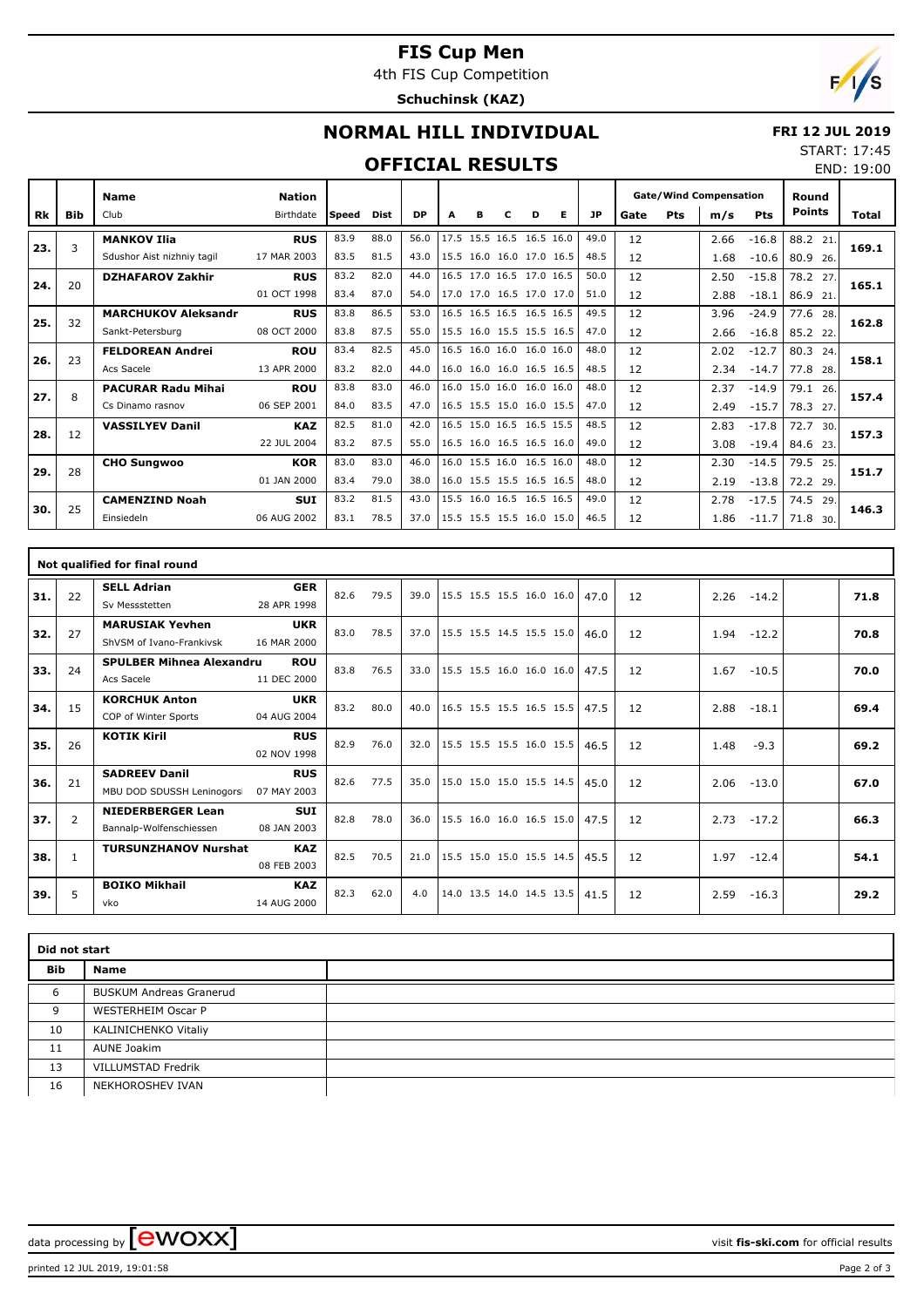# **FIS Cup Men**

4th FIS Cup Competition

**Schuchinsk (KAZ)**



END: 19:00

# **NORMAL HILL INDIVIDUAL**

#### **FRI 12 JUL 2019** START: 17:45

### **OFFICIAL RESULTS**

|     |            | <b>Name</b>                | <b>Nation</b> |        |      |           |      |   |   |                          |   |           | <b>Gate/Wind Compensation</b> |     |      |            | Round         |       |
|-----|------------|----------------------------|---------------|--------|------|-----------|------|---|---|--------------------------|---|-----------|-------------------------------|-----|------|------------|---------------|-------|
| Rk  | <b>Bib</b> | Club                       | Birthdate     | lSpeed | Dist | <b>DP</b> | A    | в | с | D                        | Е | <b>JP</b> | Gate                          | Pts | m/s  | <b>Pts</b> | <b>Points</b> | Total |
| 23. | 3          | <b>MANKOV Ilia</b>         | <b>RUS</b>    | 83.9   | 88.0 | 56.0      | 17.5 |   |   | 15.5 16.5 16.5 16.0      |   | 49.0      | 12                            |     | 2.66 | $-16.8$    | 88.2<br>21    | 169.1 |
|     |            | Sdushor Aist nizhniy tagil | 17 MAR 2003   | 83.5   | 81.5 | 43.0      |      |   |   | 15.5 16.0 16.0 17.0 16.5 |   | 48.5      | 12                            |     | 1.68 | $-10.6$    | 80.9<br>26.   |       |
| 24. | 20         | <b>DZHAFAROV Zakhir</b>    | <b>RUS</b>    | 83.2   | 82.0 | 44.0      |      |   |   | 16.5 17.0 16.5 17.0 16.5 |   | 50.0      | 12                            |     | 2.50 | $-15.8$    | 78.2<br>27.   | 165.1 |
|     |            |                            | 01 OCT 1998   | 83.4   | 87.0 | 54.0      |      |   |   | 17.0 17.0 16.5 17.0 17.0 |   | 51.0      | 12                            |     | 2.88 | $-18.1$    | 86.9<br>21.   |       |
| 25. | 32         | <b>MARCHUKOV Aleksandr</b> | <b>RUS</b>    | 83.8   | 86.5 | 53.0      |      |   |   | 16.5 16.5 16.5 16.5 16.5 |   | 49.5      | 12                            |     | 3.96 | $-24.9$    | 77.6<br>28.   | 162.8 |
|     |            | Sankt-Petersburg           | 08 OCT 2000   | 83.8   | 87.5 | 55.0      |      |   |   | 15.5 16.0 15.5 15.5 16.5 |   | 47.0      | 12                            |     | 2.66 | $-16.8$    | 85.2<br>22.   |       |
| 26. | 23         | <b>FELDOREAN Andrei</b>    | <b>ROU</b>    | 83.4   | 82.5 | 45.0      |      |   |   | 16.5 16.0 16.0 16.0 16.0 |   | 48.0      | 12                            |     | 2.02 | $-12.7$    | 80.3<br>24.   | 158.1 |
|     |            | Acs Sacele                 | 13 APR 2000   | 83.2   | 82.0 | 44.0      |      |   |   | 16.0 16.0 16.0 16.5 16.5 |   | 48.5      | 12                            |     | 2.34 | $-14.7$    | 77.8<br>28.   |       |
| 27. | 8          | <b>PACURAR Radu Mihai</b>  | <b>ROU</b>    | 83.8   | 83.0 | 46.0      | 16.0 |   |   | 15.0 16.0 16.0 16.0      |   | 48.0      | 12                            |     | 2.37 | $-14.9$    | 79.1<br>26.   | 157.4 |
|     |            | Cs Dinamo rasnov           | 06 SEP 2001   | 84.0   | 83.5 | 47.0      |      |   |   | 16.5 15.5 15.0 16.0 15.5 |   | 47.0      | 12                            |     | 2.49 | $-15.7$    | 78.3<br>27.   |       |
| 28. | 12         | <b>VASSILYEV Danil</b>     | <b>KAZ</b>    | 82.5   | 81.0 | 42.0      |      |   |   | 16.5 15.0 16.5 16.5 15.5 |   | 48.5      | 12                            |     | 2.83 | $-17.8$    | 72.7<br>30.   | 157.3 |
|     |            |                            | 22 JUL 2004   | 83.2   | 87.5 | 55.0      |      |   |   | 16.5 16.0 16.5 16.5 16.0 |   | 49.0      | 12                            |     | 3.08 | $-19.4$    | 84.6<br>23.   |       |
| 29. | 28         | <b>CHO Sungwoo</b>         | <b>KOR</b>    | 83.0   | 83.0 | 46.0      |      |   |   | 16.0 15.5 16.0 16.5 16.0 |   | 48.0      | 12                            |     | 2.30 | $-14.5$    | 79.5<br>25    | 151.7 |
|     |            |                            | 01 JAN 2000   | 83.4   | 79.0 | 38.0      |      |   |   | 16.0 15.5 15.5 16.5 16.5 |   | 48.0      | 12                            |     | 2.19 | $-13.8$    | 72.2<br>29.   |       |
| 30. | 25         | <b>CAMENZIND Noah</b>      | <b>SUI</b>    | 83.2   | 81.5 | 43.0      |      |   |   | 15.5 16.0 16.5 16.5 16.5 |   | 49.0      | 12                            |     | 2.78 | $-17.5$    | 74.5<br>29.   | 146.3 |
|     |            | Einsiedeln                 | 06 AUG 2002   | 83.1   | 78.5 | 37.0      |      |   |   | 15.5 15.5 15.5 16.0 15.0 |   | 46.5      | 12                            |     | 1.86 | $-11.7$    | 71.8<br>30.   |       |

|     |              | Not qualified for final round   |             |      |      |      |                          |  |      |    |      |         |      |
|-----|--------------|---------------------------------|-------------|------|------|------|--------------------------|--|------|----|------|---------|------|
| 31. | 22           | <b>SELL Adrian</b>              | <b>GER</b>  | 82.6 | 79.5 | 39.0 | 15.5 15.5 15.5 16.0 16.0 |  | 47.0 | 12 | 2.26 | $-14.2$ | 71.8 |
|     |              | Sv Messstetten                  | 28 APR 1998 |      |      |      |                          |  |      |    |      |         |      |
| 32. | 27           | <b>MARUSIAK Yevhen</b>          | <b>UKR</b>  | 83.0 | 78.5 | 37.0 | 15.5 15.5 14.5 15.5 15.0 |  | 46.0 | 12 | 1.94 | $-12.2$ | 70.8 |
|     |              | ShVSM of Ivano-Frankivsk        | 16 MAR 2000 |      |      |      |                          |  |      |    |      |         |      |
| 33. | 24           | <b>SPULBER Mihnea Alexandru</b> | <b>ROU</b>  | 83.8 | 76.5 | 33.0 | 15.5 15.5 16.0 16.0 16.0 |  | 47.5 | 12 | 1.67 | $-10.5$ | 70.0 |
|     |              | Acs Sacele                      | 11 DEC 2000 |      |      |      |                          |  |      |    |      |         |      |
| 34. | 15           | <b>KORCHUK Anton</b>            | <b>UKR</b>  | 83.2 | 80.0 | 40.0 | 16.5 15.5 15.5 16.5 15.5 |  | 47.5 | 12 | 2.88 | $-18.1$ | 69.4 |
|     |              | COP of Winter Sports            | 04 AUG 2004 |      |      |      |                          |  |      |    |      |         |      |
| 35. | 26           | <b>KOTIK Kiril</b>              | <b>RUS</b>  | 82.9 | 76.0 | 32.0 | 15.5 15.5 15.5 16.0 15.5 |  | 46.5 | 12 | 1.48 | $-9.3$  | 69.2 |
|     |              |                                 | 02 NOV 1998 |      |      |      |                          |  |      |    |      |         |      |
| 36. | 21           | <b>SADREEV Danil</b>            | <b>RUS</b>  | 82.6 | 77.5 | 35.0 | 15.0 15.0 15.0 15.5 14.5 |  | 45.0 | 12 | 2.06 | $-13.0$ | 67.0 |
|     |              | MBU DOD SDUSSH Leninogors       | 07 MAY 2003 |      |      |      |                          |  |      |    |      |         |      |
| 37. | 2            | <b>NIEDERBERGER Lean</b>        | <b>SUI</b>  | 82.8 | 78.0 | 36.0 | 15.5 16.0 16.0 16.5 15.0 |  | 47.5 | 12 | 2.73 | $-17.2$ | 66.3 |
|     |              | Bannalp-Wolfenschiessen         | 08 JAN 2003 |      |      |      |                          |  |      |    |      |         |      |
| 38. | $\mathbf{1}$ | <b>TURSUNZHANOV Nurshat</b>     | <b>KAZ</b>  | 82.5 | 70.5 | 21.0 | 15.5 15.0 15.0 15.5 14.5 |  | 45.5 | 12 | 1.97 | $-12.4$ | 54.1 |
|     |              |                                 | 08 FEB 2003 |      |      |      |                          |  |      |    |      |         |      |
| 39. | 5            | <b>BOIKO Mikhail</b>            | <b>KAZ</b>  | 82.3 | 62.0 | 4.0  | 14.0 13.5 14.0 14.5 13.5 |  | 41.5 | 12 | 2.59 | $-16.3$ | 29.2 |
|     |              | vko                             | 14 AUG 2000 |      |      |      |                          |  |      |    |      |         |      |

|            | Did not start                  |  |  |  |  |  |  |  |  |  |  |
|------------|--------------------------------|--|--|--|--|--|--|--|--|--|--|
| <b>Bib</b> | Name                           |  |  |  |  |  |  |  |  |  |  |
| 6          | <b>BUSKUM Andreas Granerud</b> |  |  |  |  |  |  |  |  |  |  |
| 9          | <b>WESTERHEIM Oscar P</b>      |  |  |  |  |  |  |  |  |  |  |
| 10         | KALINICHENKO Vitaliy           |  |  |  |  |  |  |  |  |  |  |
| 11         | AUNE Joakim                    |  |  |  |  |  |  |  |  |  |  |
| 13         | VILLUMSTAD Fredrik             |  |  |  |  |  |  |  |  |  |  |
| 16         | NEKHOROSHEV IVAN               |  |  |  |  |  |  |  |  |  |  |

data processing by **CWOXX**  $\blacksquare$ 

printed 12 JUL 2019, 19:01:58 Page 2 of 3